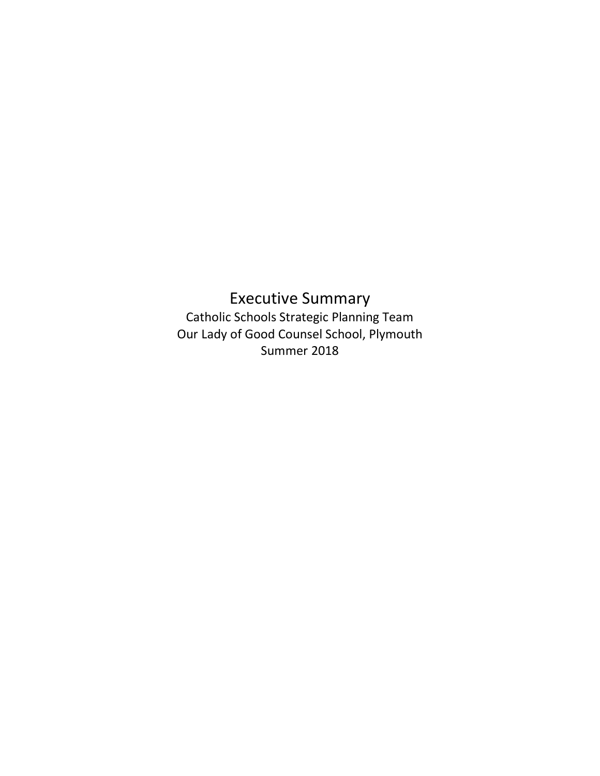## Executive Summary Catholic Schools Strategic Planning Team Our Lady of Good Counsel School, Plymouth Summer 2018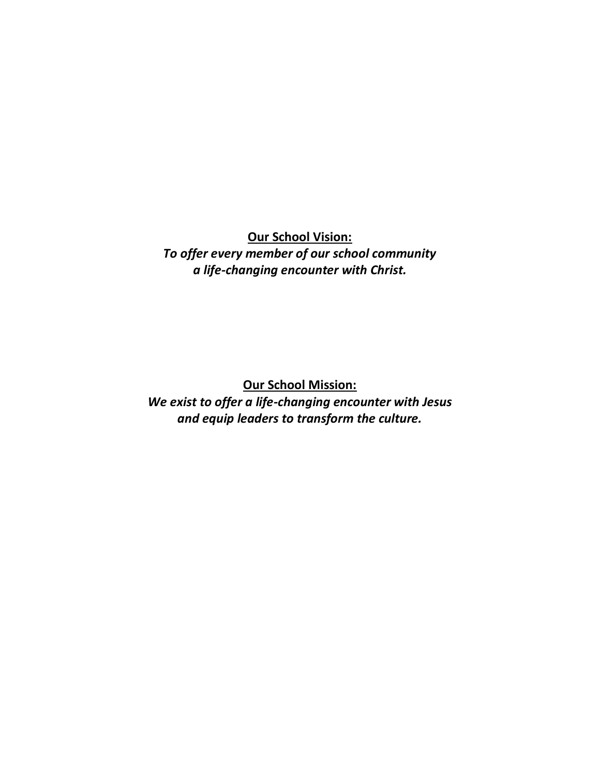**Our School Vision:** *To offer every member of our school community a life-changing encounter with Christ.*

**Our School Mission:**

*We exist to offer a life-changing encounter with Jesus and equip leaders to transform the culture.*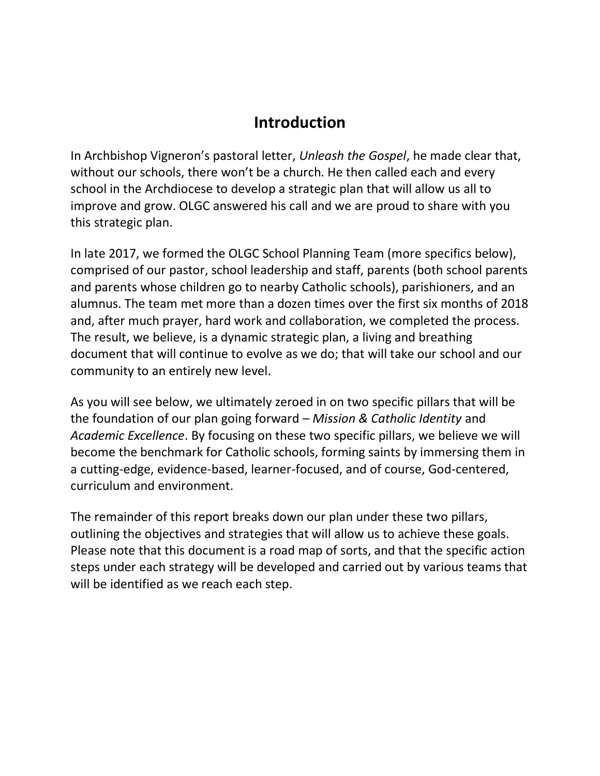## **Introduction**

In Archbishop Vigneron's pastoral letter, *Unleash the Gospel*, he made clear that, without our schools, there won't be a church. He then called each and every school in the Archdiocese to develop a strategic plan that will allow us all to improve and grow. OLGC answered his call and we are proud to share with you this strategic plan.

In late 2017, we formed the OLGC School Planning Team (more specifics below), comprised of our pastor, school leadership and staff, parents (both school parents and parents whose children go to nearby Catholic schools), parishioners, and an alumnus. The team met more than a dozen times over the first six months of 2018 and, after much prayer, hard work and collaboration, we completed the process. The result, we believe, is a dynamic strategic plan, a living and breathing document that will continue to evolve as we do; that will take our school and our community to an entirely new level.

As you will see below, we ultimately zeroed in on two specific pillars that will be the foundation of our plan going forward – *Mission & Catholic Identity* and *Academic Excellence*. By focusing on these two specific pillars, we believe we will become the benchmark for Catholic schools, forming saints by immersing them in a cutting-edge, evidence-based, learner-focused, and of course, God-centered, curriculum and environment.

The remainder of this report breaks down our plan under these two pillars, outlining the objectives and strategies that will allow us to achieve these goals. Please note that this document is a road map of sorts, and that the specific action steps under each strategy will be developed and carried out by various teams that will be identified as we reach each step.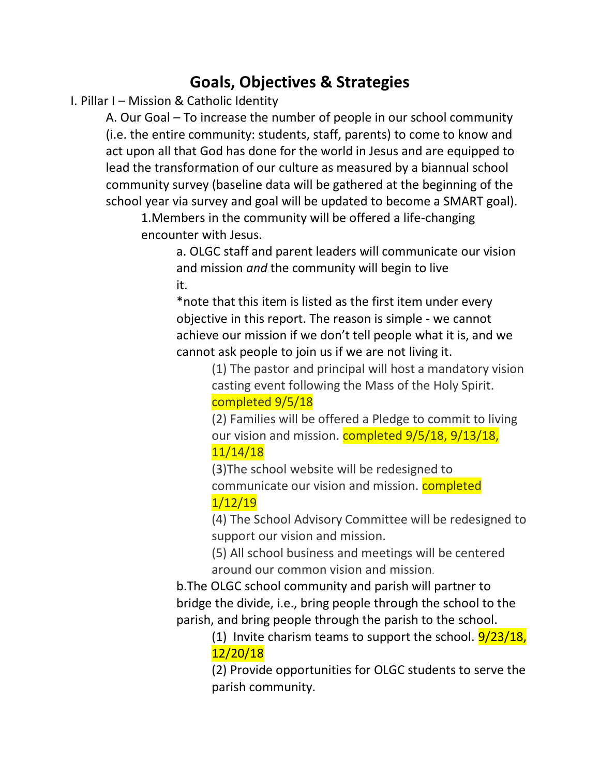## **Goals, Objectives & Strategies**

I. Pillar I – Mission & Catholic Identity

A. Our Goal – To increase the number of people in our school community (i.e. the entire community: students, staff, parents) to come to know and act upon all that God has done for the world in Jesus and are equipped to lead the transformation of our culture as measured by a biannual school community survey (baseline data will be gathered at the beginning of the school year via survey and goal will be updated to become a SMART goal).

1.Members in the community will be offered a life-changing encounter with Jesus.

> a. OLGC staff and parent leaders will communicate our vision and mission *and* the community will begin to live it.

\*note that this item is listed as the first item under every objective in this report. The reason is simple - we cannot achieve our mission if we don't tell people what it is, and we cannot ask people to join us if we are not living it.

> (1) The pastor and principal will host a mandatory vision casting event following the Mass of the Holy Spirit. completed 9/5/18

(2) Families will be offered a Pledge to commit to living our vision and mission. **completed 9/5/18, 9/13/18,** 11/14/18

(3)The school website will be redesigned to communicate our vision and mission. **completed** 1/12/19

(4) The School Advisory Committee will be redesigned to support our vision and mission.

(5) All school business and meetings will be centered around our common vision and mission.

b.The OLGC school community and parish will partner to bridge the divide, i.e., bring people through the school to the parish, and bring people through the parish to the school.

(1) Invite charism teams to support the school.  $9/23/18$ , 12/20/18

(2) Provide opportunities for OLGC students to serve the parish community.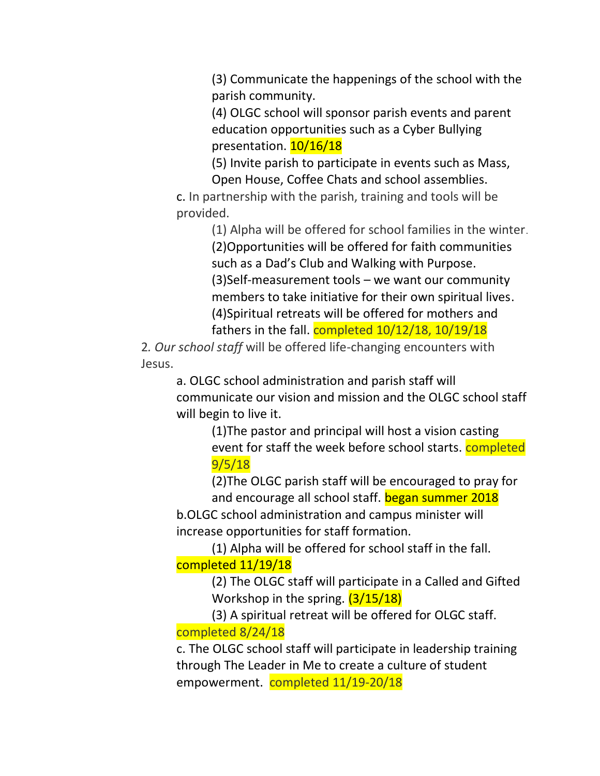(3) Communicate the happenings of the school with the parish community.

(4) OLGC school will sponsor parish events and parent education opportunities such as a Cyber Bullying presentation. 10/16/18

(5) Invite parish to participate in events such as Mass, Open House, Coffee Chats and school assemblies.

c. In partnership with the parish, training and tools will be provided.

> (1) Alpha will be offered for school families in the winter. (2)Opportunities will be offered for faith communities such as a Dad's Club and Walking with Purpose. (3)Self-measurement tools – we want our community members to take initiative for their own spiritual lives. (4)Spiritual retreats will be offered for mothers and fathers in the fall. completed  $10/12/18$ ,  $10/19/18$

2*. Our school staff* will be offered life-changing encounters with Jesus.

a. OLGC school administration and parish staff will communicate our vision and mission and the OLGC school staff will begin to live it.

(1)The pastor and principal will host a vision casting event for staff the week before school starts. **completed** 9/5/18

(2)The OLGC parish staff will be encouraged to pray for and encourage all school staff. began summer 2018

b.OLGC school administration and campus minister will increase opportunities for staff formation.

(1) Alpha will be offered for school staff in the fall. completed 11/19/18

> (2) The OLGC staff will participate in a Called and Gifted Workshop in the spring. (3/15/18)

(3) A spiritual retreat will be offered for OLGC staff. completed 8/24/18

c. The OLGC school staff will participate in leadership training through The Leader in Me to create a culture of student empowerment. completed 11/19-20/18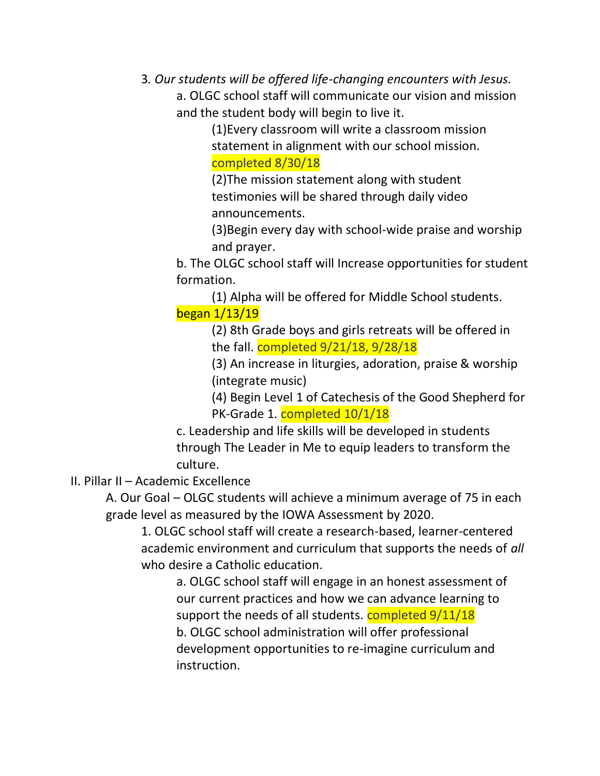3*. Our students will be offered life-changing encounters with Jesus.* 

a. OLGC school staff will communicate our vision and mission and the student body will begin to live it.

> (1)Every classroom will write a classroom mission statement in alignment with our school mission. completed 8/30/18

(2)The mission statement along with student testimonies will be shared through daily video announcements.

(3)Begin every day with school-wide praise and worship and prayer.

b. The OLGC school staff will Increase opportunities for student formation.

(1) Alpha will be offered for Middle School students. began 1/13/19

> (2) 8th Grade boys and girls retreats will be offered in the fall. completed 9/21/18, 9/28/18

(3) An increase in liturgies, adoration, praise & worship (integrate music)

(4) Begin Level 1 of Catechesis of the Good Shepherd for PK-Grade 1. **completed 10/1/18** 

c. Leadership and life skills will be developed in students through The Leader in Me to equip leaders to transform the culture.

II. Pillar II – Academic Excellence

A. Our Goal – OLGC students will achieve a minimum average of 75 in each grade level as measured by the IOWA Assessment by 2020.

1. OLGC school staff will create a research-based, learner-centered academic environment and curriculum that supports the needs of *all* who desire a Catholic education.

a. OLGC school staff will engage in an honest assessment of our current practices and how we can advance learning to support the needs of all students. completed  $9/11/18$ b. OLGC school administration will offer professional development opportunities to re-imagine curriculum and instruction.